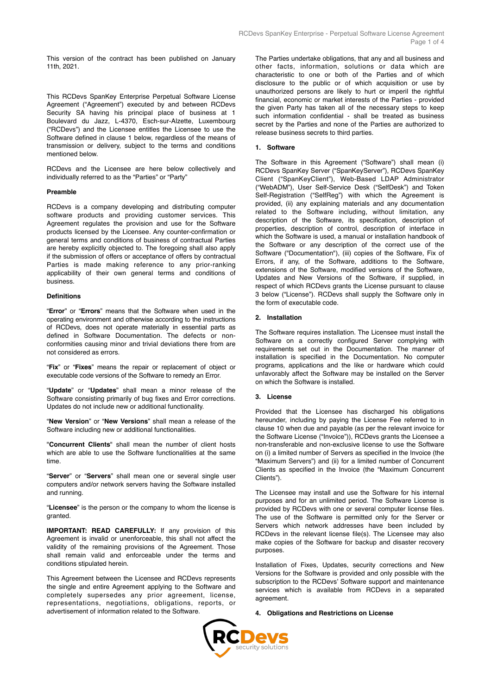This version of the contract has been published on January 11th, 2021.

This RCDevs SpanKey Enterprise Perpetual Software License Agreement ("Agreement") executed by and between RCDevs Security SA having his principal place of business at 1 Boulevard du Jazz, L-4370, Esch-sur-Alzette, Luxembourg ("RCDevs") and the Licensee entitles the Licensee to use the Software defined in clause 1 below, regardless of the means of transmission or delivery, subject to the terms and conditions mentioned below.

RCDevs and the Licensee are here below collectively and individually referred to as the "Parties" or "Party"

### **Preamble**

RCDevs is a company developing and distributing computer software products and providing customer services. This Agreement regulates the provision and use for the Software products licensed by the Licensee. Any counter-confirmation or general terms and conditions of business of contractual Parties are hereby explicitly objected to. The foregoing shall also apply if the submission of offers or acceptance of offers by contractual Parties is made making reference to any prior-ranking applicability of their own general terms and conditions of business.

#### **Definitions**

"**Error**" or "**Errors**" means that the Software when used in the operating environment and otherwise according to the instructions of RCDevs, does not operate materially in essential parts as defined in Software Documentation. The defects or nonconformities causing minor and trivial deviations there from are not considered as errors.

"**Fix**" or "**Fixes**" means the repair or replacement of object or executable code versions of the Software to remedy an Error.

"**Update**" or "**Updates**" shall mean a minor release of the Software consisting primarily of bug fixes and Error corrections. Updates do not include new or additional functionality.

"**New Version**" or "**New Versions**" shall mean a release of the Software including new or additional functionalities.

"**Concurrent Clients**" shall mean the number of client hosts which are able to use the Software functionalities at the same time.

"**Server**" or "**Servers**" shall mean one or several single user computers and/or network servers having the Software installed and running.

"**Licensee**" is the person or the company to whom the license is granted.

**IMPORTANT: READ CAREFULLY:** If any provision of this Agreement is invalid or unenforceable, this shall not affect the validity of the remaining provisions of the Agreement. Those shall remain valid and enforceable under the terms and conditions stipulated herein.

This Agreement between the Licensee and RCDevs represents the single and entire Agreement applying to the Software and completely supersedes any prior agreement, license, representations, negotiations, obligations, reports, or advertisement of information related to the Software.

The Parties undertake obligations, that any and all business and other facts, information, solutions or data which are characteristic to one or both of the Parties and of which disclosure to the public or of which acquisition or use by unauthorized persons are likely to hurt or imperil the rightful financial, economic or market interests of the Parties - provided the given Party has taken all of the necessary steps to keep such information confidential - shall be treated as business secret by the Parties and none of the Parties are authorized to release business secrets to third parties.

### **1. Software**

The Software in this Agreement ("Software") shall mean (i) RCDevs SpanKey Server ("SpanKeyServer"), RCDevs SpanKey Client ("SpanKeyClient"), Web-Based LDAP Administrator ("WebADM"), User Self-Service Desk ("SelfDesk") and Token Self-Registration ("SelfReg") with which the Agreement is provided, (ii) any explaining materials and any documentation related to the Software including, without limitation, any description of the Software, its specification, description of properties, description of control, description of interface in which the Software is used, a manual or installation handbook of the Software or any description of the correct use of the Software ("Documentation"), (iii) copies of the Software, Fix of Errors, if any, of the Software, additions to the Software, extensions of the Software, modified versions of the Software, Updates and New Versions of the Software, if supplied, in respect of which RCDevs grants the License pursuant to clause 3 below ("License"). RCDevs shall supply the Software only in the form of executable code.

#### **2. Installation**

The Software requires installation. The Licensee must install the Software on a correctly configured Server complying with requirements set out in the Documentation. The manner of installation is specified in the Documentation. No computer programs, applications and the like or hardware which could unfavorably affect the Software may be installed on the Server on which the Software is installed.

#### **3. License**

Provided that the Licensee has discharged his obligations hereunder, including by paying the License Fee referred to in clause 10 when due and payable (as per the relevant invoice for the Software License ("Invoice")), RCDevs grants the Licensee a non-transferable and non-exclusive license to use the Software on (i) a limited number of Servers as specified in the Invoice (the "Maximum Servers") and (ii) for a limited number of Concurrent Clients as specified in the Invoice (the "Maximum Concurrent Clients").

The Licensee may install and use the Software for his internal purposes and for an unlimited period. The Software License is provided by RCDevs with one or several computer license files. The use of the Software is permitted only for the Server or Servers which network addresses have been included by RCDevs in the relevant license file(s). The Licensee may also make copies of the Software for backup and disaster recovery purposes.

Installation of Fixes, Updates, security corrections and New Versions for the Software is provided and only possible with the subscription to the RCDevs' Software support and maintenance services which is available from RCDevs in a separated agreement.

### **4. Obligations and Restrictions on License**

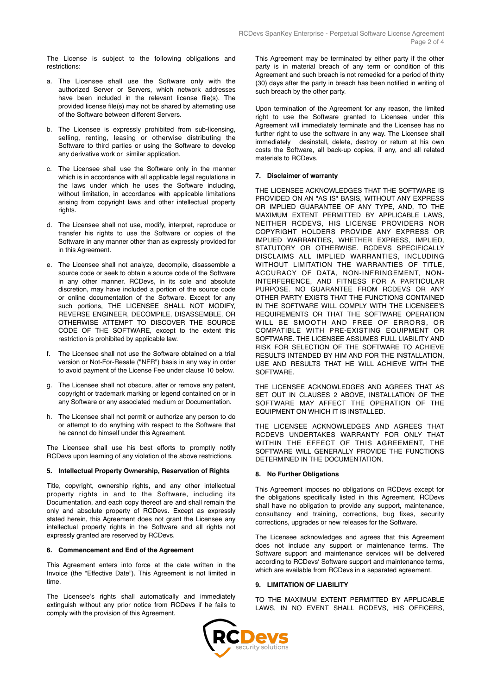The License is subject to the following obligations and restrictions:

- a. The Licensee shall use the Software only with the authorized Server or Servers, which network addresses have been included in the relevant license file(s). The provided license file(s) may not be shared by alternating use of the Software between different Servers.
- b. The Licensee is expressly prohibited from sub-licensing, selling, renting, leasing or otherwise distributing the Software to third parties or using the Software to develop any derivative work or similar application.
- c. The Licensee shall use the Software only in the manner which is in accordance with all applicable legal regulations in the laws under which he uses the Software including, without limitation, in accordance with applicable limitations arising from copyright laws and other intellectual property rights.
- d. The Licensee shall not use, modify, interpret, reproduce or transfer his rights to use the Software or copies of the Software in any manner other than as expressly provided for in this Agreement.
- e. The Licensee shall not analyze, decompile, disassemble a source code or seek to obtain a source code of the Software in any other manner. RCDevs, in its sole and absolute discretion, may have included a portion of the source code or online documentation of the Software. Except for any such portions. THE LICENSEE SHALL NOT MODIFY, REVERSE ENGINEER, DECOMPILE, DISASSEMBLE, OR OTHERWISE ATTEMPT TO DISCOVER THE SOURCE CODE OF THE SOFTWARE, except to the extent this restriction is prohibited by applicable law.
- f. The Licensee shall not use the Software obtained on a trial version or Not-For-Resale ("NFR") basis in any way in order to avoid payment of the License Fee under clause 10 below.
- g. The Licensee shall not obscure, alter or remove any patent, copyright or trademark marking or legend contained on or in any Software or any associated medium or Documentation.
- h. The Licensee shall not permit or authorize any person to do or attempt to do anything with respect to the Software that he cannot do himself under this Agreement.

The Licensee shall use his best efforts to promptly notify RCDevs upon learning of any violation of the above restrictions.

### **5. Intellectual Property Ownership, Reservation of Rights**

Title, copyright, ownership rights, and any other intellectual property rights in and to the Software, including its Documentation, and each copy thereof are and shall remain the only and absolute property of RCDevs. Except as expressly stated herein, this Agreement does not grant the Licensee any intellectual property rights in the Software and all rights not expressly granted are reserved by RCDevs.

### **6. Commencement and End of the Agreement**

This Agreement enters into force at the date written in the Invoice (the "Effective Date"). This Agreement is not limited in time.

The Licensee's rights shall automatically and immediately extinguish without any prior notice from RCDevs if he fails to comply with the provision of this Agreement.

This Agreement may be terminated by either party if the other party is in material breach of any term or condition of this Agreement and such breach is not remedied for a period of thirty (30) days after the party in breach has been notified in writing of such breach by the other party.

Upon termination of the Agreement for any reason, the limited right to use the Software granted to Licensee under this Agreement will immediately terminate and the Licensee has no further right to use the software in any way. The Licensee shall immediately desinstall, delete, destroy or return at his own costs the Software, all back-up copies, if any, and all related materials to RCDevs.

### **7. Disclaimer of warranty**

THE LICENSEE ACKNOWLEDGES THAT THE SOFTWARE IS PROVIDED ON AN "AS IS" BASIS, WITHOUT ANY EXPRESS OR IMPLIED GUARANTEE OF ANY TYPE, AND, TO THE MAXIMUM EXTENT PERMITTED BY APPLICABLE LAWS, NEITHER RCDEVS, HIS LICENSE PROVIDERS NOR COPYRIGHT HOLDERS PROVIDE ANY EXPRESS OR IMPLIED WARRANTIES, WHETHER EXPRESS, IMPLIED, STATUTORY OR OTHERWISE. RCDEVS SPECIFICALLY DISCLAIMS ALL IMPLIED WARRANTIES, INCLUDING WITHOUT LIMITATION THE WARRANTIES OF TITLE, ACCURACY OF DATA, NON-INFRINGEMENT, NON-INTERFERENCE, AND FITNESS FOR A PARTICULAR PURPOSE. NO GUARANTEE FROM RCDEVS OR ANY OTHER PARTY EXISTS THAT THE FUNCTIONS CONTAINED IN THE SOFTWARE WILL COMPLY WITH THE LICENSEE'S REQUIREMENTS OR THAT THE SOFTWARE OPERATION WILL BE SMOOTH AND FREE OF ERRORS, OR COMPATIBLE WITH PRE-EXISTING EQUIPMENT OR SOFTWARE. THE LICENSEE ASSUMES FULL LIABILITY AND RISK FOR SELECTION OF THE SOFTWARE TO ACHIEVE RESULTS INTENDED BY HIM AND FOR THE INSTALLATION, USE AND RESULTS THAT HE WILL ACHIEVE WITH THE SOFTWARE.

THE LICENSEE ACKNOWLEDGES AND AGREES THAT AS SET OUT IN CLAUSES 2 ABOVE, INSTALLATION OF THE SOFTWARE MAY AFFECT THE OPERATION OF THE EQUIPMENT ON WHICH IT IS INSTALLED.

THE LICENSEE ACKNOWLEDGES AND AGREES THAT RCDEVS UNDERTAKES WARRANTY FOR ONLY THAT WITHIN THE EFFECT OF THIS AGREEMENT, THE SOFTWARE WILL GENERALLY PROVIDE THE FUNCTIONS DETERMINED IN THE DOCUMENTATION.

## **8. No Further Obligations**

This Agreement imposes no obligations on RCDevs except for the obligations specifically listed in this Agreement. RCDevs shall have no obligation to provide any support, maintenance, consultancy and training, corrections, bug fixes, security corrections, upgrades or new releases for the Software.

The Licensee acknowledges and agrees that this Agreement does not include any support or maintenance terms. The Software support and maintenance services will be delivered according to RCDevs' Software support and maintenance terms, which are available from RCDevs in a separated agreement.

## **9. LIMITATION OF LIABILITY**

TO THE MAXIMUM EXTENT PERMITTED BY APPLICABLE LAWS, IN NO EVENT SHALL RCDEVS, HIS OFFICERS,

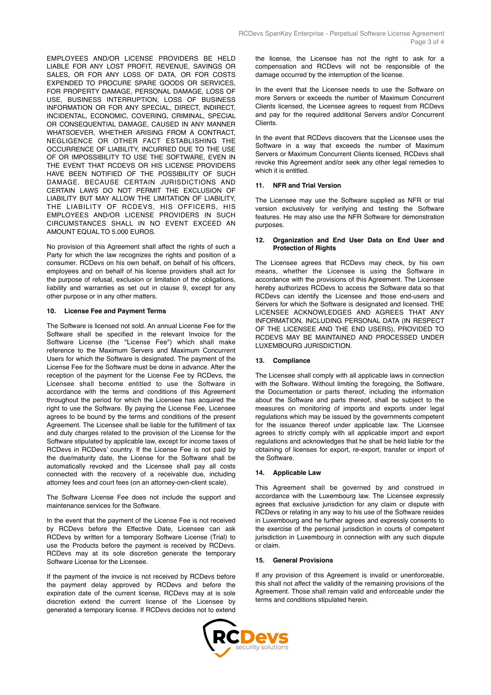EMPLOYEES AND/OR LICENSE PROVIDERS BE HELD LIABLE FOR ANY LOST PROFIT, REVENUE, SAVINGS OR SALES, OR FOR ANY LOSS OF DATA, OR FOR COSTS EXPENDED TO PROCURE SPARE GOODS OR SERVICES, FOR PROPERTY DAMAGE, PERSONAL DAMAGE, LOSS OF USE, BUSINESS INTERRUPTION, LOSS OF BUSINESS INFORMATION OR FOR ANY SPECIAL, DIRECT, INDIRECT, INCIDENTAL, ECONOMIC, COVERING, CRIMINAL, SPECIAL OR CONSEQUENTIAL DAMAGE, CAUSED IN ANY MANNER WHATSOEVER, WHETHER ARISING FROM A CONTRACT, NEGLIGENCE OR OTHER FACT ESTABLISHING THE OCCURRENCE OF LIABILITY, INCURRED DUE TO THE USE OF OR IMPOSSIBILITY TO USE THE SOFTWARE, EVEN IN THE EVENT THAT RCDEVS OR HIS LICENSE PROVIDERS HAVE BEEN NOTIFIED OF THE POSSIBILITY OF SUCH DAMAGE. BECAUSE CERTAIN JURISDICTIONS AND CERTAIN LAWS DO NOT PERMIT THE EXCLUSION OF LIABILITY BUT MAY ALLOW THE LIMITATION OF LIABILITY, THE LIABILITY OF RCDEVS, HIS OFFICERS, HIS EMPLOYEES AND/OR LICENSE PROVIDERS IN SUCH CIRCUMSTANCES SHALL IN NO EVENT EXCEED AN AMOUNT EQUAL TO 5.000 EUROS.

No provision of this Agreement shall affect the rights of such a Party for which the law recognizes the rights and position of a consumer. RCDevs on his own behalf, on behalf of his officers, employees and on behalf of his license providers shall act for the purpose of refusal, exclusion or limitation of the obligations, liability and warranties as set out in clause 9, except for any other purpose or in any other matters.

# **10. License Fee and Payment Terms**

The Software is licensed not sold. An annual License Fee for the Software shall be specified in the relevant Invoice for the Software License (the "License Fee") which shall make reference to the Maximum Servers and Maximum Concurrent Users for which the Software is designated. The payment of the License Fee for the Software must be done in advance. After the reception of the payment for the License Fee by RCDevs, the Licensee shall become entitled to use the Software in accordance with the terms and conditions of this Agreement throughout the period for which the Licensee has acquired the right to use the Software. By paying the License Fee, Licensee agrees to be bound by the terms and conditions of the present Agreement. The Licensee shall be liable for the fulfillment of tax and duty charges related to the provision of the License for the Software stipulated by applicable law, except for income taxes of RCDevs in RCDevs' country. If the License Fee is not paid by the due/maturity date, the License for the Software shall be automatically revoked and the Licensee shall pay all costs connected with the recovery of a receivable due, including attorney fees and court fees (on an attorney-own-client scale).

The Software License Fee does not include the support and maintenance services for the Software.

In the event that the payment of the License Fee is not received by RCDevs before the Effective Date, Licensee can ask RCDevs by written for a temporary Software License (Trial) to use the Products before the payment is received by RCDevs. RCDevs may at its sole discretion generate the temporary Software License for the Licensee.

If the payment of the invoice is not received by RCDevs before the payment delay approved by RCDevs and before the expiration date of the current license, RCDevs may at is sole discretion extend the current license of the Licensee by generated a temporary license. If RCDevs decides not to extend the license, the Licensee has not the right to ask for a compensation and RCDevs will not be responsible of the damage occurred by the interruption of the license.

In the event that the Licensee needs to use the Software on more Servers or exceeds the number of Maximum Concurrent Clients licensed, the Licensee agrees to request from RCDevs and pay for the required additional Servers and/or Concurrent Clients.

In the event that RCDevs discovers that the Licensee uses the Software in a way that exceeds the number of Maximum Servers or Maximum Concurrent Clients licensed, RCDevs shall revoke this Agreement and/or seek any other legal remedies to which it is entitled.

## **11. NFR and Trial Version**

The Licensee may use the Software supplied as NFR or trial version exclusively for verifying and testing the Software features. He may also use the NFR Software for demonstration purposes.

## **12. Organization and End User Data on End User and Protection of Rights**

The Licensee agrees that RCDevs may check, by his own means, whether the Licensee is using the Software in accordance with the provisions of this Agreement. The Licensee hereby authorizes RCDevs to access the Software data so that RCDevs can identify the Licensee and those end-users and Servers for which the Software is designated and licensed. THE LICENSEE ACKNOWLEDGES AND AGREES THAT ANY INFORMATION, INCLUDING PERSONAL DATA (IN RESPECT OF THE LICENSEE AND THE END USERS), PROVIDED TO RCDEVS MAY BE MAINTAINED AND PROCESSED UNDER LUXEMBOURG JURISDICTION.

# **13. Compliance**

The Licensee shall comply with all applicable laws in connection with the Software. Without limiting the foregoing, the Software, the Documentation or parts thereof, including the information about the Software and parts thereof, shall be subject to the measures on monitoring of imports and exports under legal regulations which may be issued by the governments competent for the issuance thereof under applicable law. The Licensee agrees to strictly comply with all applicable import and export regulations and acknowledges that he shall be held liable for the obtaining of licenses for export, re-export, transfer or import of the Software.

# **14. Applicable Law**

This Agreement shall be governed by and construed in accordance with the Luxembourg law. The Licensee expressly agrees that exclusive jurisdiction for any claim or dispute with RCDevs or relating in any way to his use of the Software resides in Luxembourg and he further agrees and expressly consents to the exercise of the personal jurisdiction in courts of competent jurisdiction in Luxembourg in connection with any such dispute or claim.

### **15. General Provisions**

If any provision of this Agreement is invalid or unenforceable, this shall not affect the validity of the remaining provisions of the Agreement. Those shall remain valid and enforceable under the terms and conditions stipulated herein.